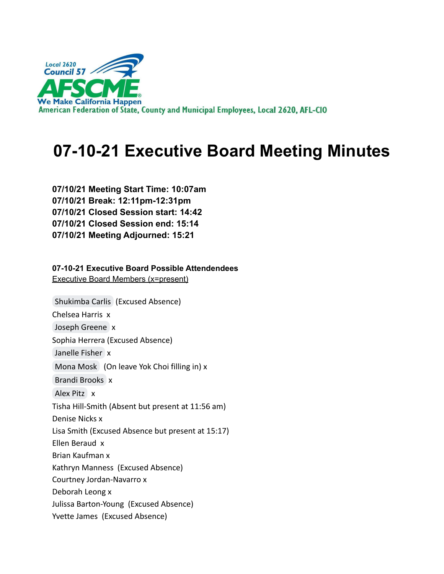

# **07-10-21 Executive Board Meeting Minutes**

**07/10/21 Meeting Start Time: 10:07am 07/10/21 Break: 12:11pm-12:31pm 07/10/21 Closed Session start: 14:42 07/10/21 Closed Session end: 15:14 07/10/21 Meeting Adjourned: 15:21**

**07-10-21 Executive Board Possible Attendendees** Executive Board Members (x=present)

[Shukimba Carlis](mailto:president@afscmelocal2620.org) (Excused Absence) Chelsea Harris x [Joseph Greene](mailto:kg6cig@gmail.com) x Sophia Herrera (Excused Absence) [Janelle Fisher](mailto:secretary@afscmelocal2620.org) x [Mona Mosk](mailto:Mona.mosk@gmail.com) (On leave Yok Choi filling in) x [Brandi Brooks](mailto:brandi.brooks@afscmelocal2620.org) x [Alex Pitz](mailto:alex.pitz@afscmelocal2620.org) x Tisha Hill-Smith (Absent but present at 11:56 am) Denise Nicks x Lisa Smith (Excused Absence but present at 15:17) Ellen Beraud x Brian Kaufman x Kathryn Manness (Excused Absence) Courtney Jordan-Navarro x Deborah Leong x Julissa Barton-Young (Excused Absence) Yvette James (Excused Absence)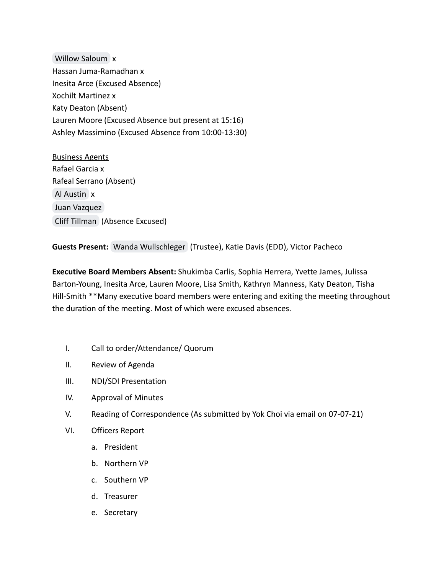[Willow Saloum](mailto:w.saloumpsy.d@gmail.com) x Hassan Juma-Ramadhan x Inesita Arce (Excused Absence) Xochilt Martinez x Katy Deaton (Absent) Lauren Moore (Excused Absence but present at 15:16) Ashley Massimino (Excused Absence from 10:00-13:30)

Business Agents Rafael Garcia x Rafeal Serrano (Absent) [Al Austin](mailto:al.austin@ca.afscme57.org) x [Juan Vazquez](mailto:juan.vazquez@ca.afscme57.org) [Cliff Tillman](mailto:cliff.tillman@ca.afscme57.org) (Absence Excused)

**Guests Present:** [Wanda Wullschleger](mailto:wanda.wullschleger@afscmelocal2620.org) (Trustee), Katie Davis (EDD), Victor Pacheco

**Executive Board Members Absent:** Shukimba Carlis, Sophia Herrera, Yvette James, Julissa Barton-Young, Inesita Arce, Lauren Moore, Lisa Smith, Kathryn Manness, Katy Deaton, Tisha Hill-Smith \*\*Many executive board members were entering and exiting the meeting throughout the duration of the meeting. Most of which were excused absences.

- I. Call to order/Attendance/ Quorum
- II. Review of Agenda
- III. NDI/SDI Presentation
- IV. Approval of Minutes
- V. Reading of Correspondence (As submitted by Yok Choi via email on 07-07-21)
- VI. Officers Report
	- a. President
	- b. Northern VP
	- c. Southern VP
	- d. Treasurer
	- e. Secretary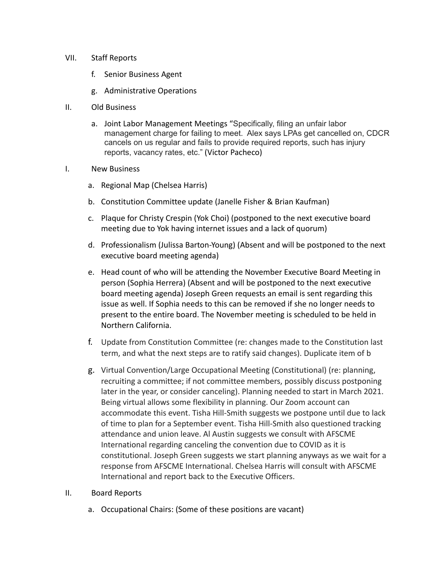### VII. Staff Reports

- f. Senior Business Agent
- g. Administrative Operations
- II. Old Business
	- a. Joint Labor Management Meetings "Specifically, filing an unfair labor management charge for failing to meet. Alex says LPAs get cancelled on, CDCR cancels on us regular and fails to provide required reports, such has injury reports, vacancy rates, etc." (Victor Pacheco)

### I. New Business

- a. Regional Map (Chelsea Harris)
- b. Constitution Committee update (Janelle Fisher & Brian Kaufman)
- c. Plaque for Christy Crespin (Yok Choi) (postponed to the next executive board meeting due to Yok having internet issues and a lack of quorum)
- d. Professionalism (Julissa Barton-Young) (Absent and will be postponed to the next executive board meeting agenda)
- e. Head count of who will be attending the November Executive Board Meeting in person (Sophia Herrera) (Absent and will be postponed to the next executive board meeting agenda) Joseph Green requests an email is sent regarding this issue as well. If Sophia needs to this can be removed if she no longer needs to present to the entire board. The November meeting is scheduled to be held in Northern California.
- f. Update from Constitution Committee (re: changes made to the Constitution last term, and what the next steps are to ratify said changes). Duplicate item of b
- g. Virtual Convention/Large Occupational Meeting (Constitutional) (re: planning, recruiting a committee; if not committee members, possibly discuss postponing later in the year, or consider canceling). Planning needed to start in March 2021. Being virtual allows some flexibility in planning. Our Zoom account can accommodate this event. Tisha Hill-Smith suggests we postpone until due to lack of time to plan for a September event. Tisha Hill-Smith also questioned tracking attendance and union leave. Al Austin suggests we consult with AFSCME International regarding canceling the convention due to COVID as it is constitutional. Joseph Green suggests we start planning anyways as we wait for a response from AFSCME International. Chelsea Harris will consult with AFSCME International and report back to the Executive Officers.

#### II. Board Reports

a. Occupational Chairs: (Some of these positions are vacant)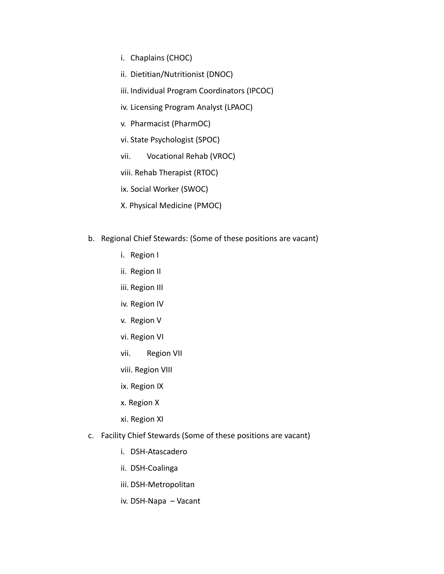- i. Chaplains (CHOC)
- ii. Dietitian/Nutritionist (DNOC)
- iii. Individual Program Coordinators (IPCOC)
- iv. Licensing Program Analyst (LPAOC)
- v. Pharmacist (PharmOC)
- vi. State Psychologist (SPOC)
- vii. Vocational Rehab (VROC)
- viii. Rehab Therapist (RTOC)
- ix. Social Worker (SWOC)
- X. Physical Medicine (PMOC)
- b. Regional Chief Stewards: (Some of these positions are vacant)
	- i. Region I
	- ii. Region II
	- iii. Region III
	- iv. Region IV
	- v. Region V
	- vi. Region VI
	- vii. Region VII
	- viii. Region VIII
	- ix. Region IX
	- x. Region X
	- xi. Region XI
- c. Facility Chief Stewards (Some of these positions are vacant)
	- i. DSH-Atascadero
	- ii. DSH-Coalinga
	- iii. DSH-Metropolitan
	- iv. DSH-Napa Vacant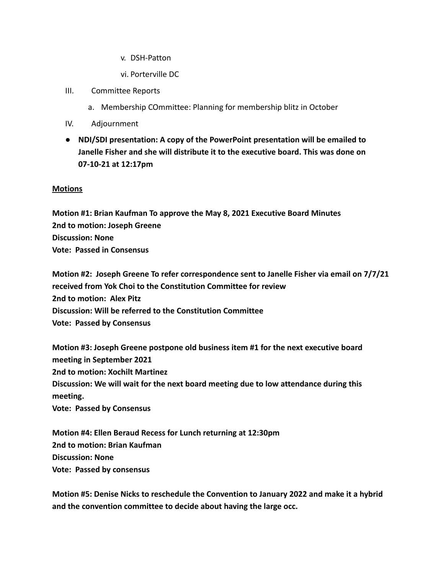v. DSH-Patton

vi. Porterville DC

- III. Committee Reports
	- a. Membership COmmittee: Planning for membership blitz in October
- IV. Adjournment
- **● NDI/SDI presentation: A copy of the PowerPoint presentation will be emailed to Janelle Fisher and she will distribute it to the executive board. This was done on 07-10-21 at 12:17pm**

## **Motions**

**Motion #1: Brian Kaufman To approve the May 8, 2021 Executive Board Minutes 2nd to motion: Joseph Greene Discussion: None Vote: Passed in Consensus**

**Motion #2: Joseph Greene To refer correspondence sent to Janelle Fisher via email on 7/7/21 received from Yok Choi to the Constitution Committee for review 2nd to motion: Alex Pitz Discussion: Will be referred to the Constitution Committee Vote: Passed by Consensus**

**Motion #3: Joseph Greene postpone old business item #1 for the next executive board meeting in September 2021 2nd to motion: Xochilt Martinez Discussion: We will wait for the next board meeting due to low attendance during this meeting. Vote: Passed by Consensus**

**Motion #4: Ellen Beraud Recess for Lunch returning at 12:30pm 2nd to motion: Brian Kaufman Discussion: None Vote: Passed by consensus**

**Motion #5: Denise Nicks to reschedule the Convention to January 2022 and make it a hybrid and the convention committee to decide about having the large occ.**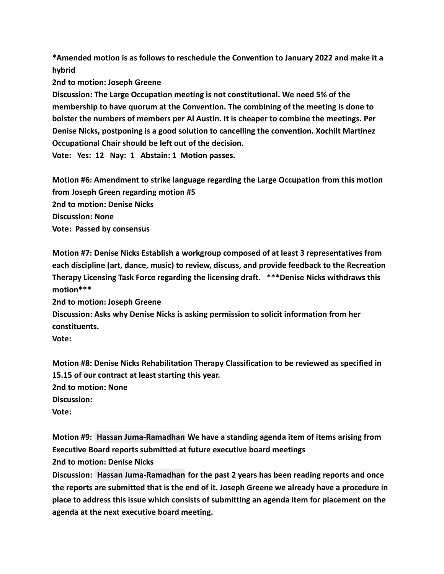**\*Amended motion is as follows to reschedule the Convention to January 2022 and make it a hybrid**

**2nd to motion: Joseph Greene**

**Discussion: The Large Occupation meeting is not constitutional. We need 5% of the membership to have quorum at the Convention. The combining of the meeting is done to bolster the numbers of members per Al Austin. It is cheaper to combine the meetings. Per Denise Nicks, postponing is a good solution to cancelling the convention. Xochilt Martinez Occupational Chair should be left out of the decision.**

**Vote: Yes: 12 Nay: 1 Abstain: 1 Motion passes.**

**Motion #6: Amendment to strike language regarding the Large Occupation from this motion from Joseph Green regarding motion #5 2nd to motion: Denise Nicks Discussion: None Vote: Passed by consensus**

**Motion #7: Denise Nicks Establish a workgroup composed of at least 3 representatives from each discipline (art, dance, music) to review, discuss, and provide feedback to the Recreation Therapy Licensing Task Force regarding the licensing draft. \*\*\*Denise Nicks withdraws this motion\*\*\***

**2nd to motion: Joseph Greene**

**Discussion: Asks why Denise Nicks is asking permission to solicit information from her constituents.**

**Vote:**

**Motion #8: Denise Nicks Rehabilitation Therapy Classification to be reviewed as specified in 15.15 of our contract at least starting this year. 2nd to motion: None Discussion: Vote:**

**Motion #9: [Hassan Juma-Ramadhan](mailto:hassan.juma-ramadhan@afscmelocal2620.org) We have a standing agenda item of items arising from Executive Board reports submitted at future executive board meetings 2nd to motion: Denise Nicks**

**Discussion: [Hassan Juma-Ramadhan](mailto:hassan.juma-ramadhan@afscmelocal2620.org) for the past 2 years has been reading reports and once the reports are submitted that is the end of it. Joseph Greene we already have a procedure in place to address this issue which consists of submitting an agenda item for placement on the agenda at the next executive board meeting.**